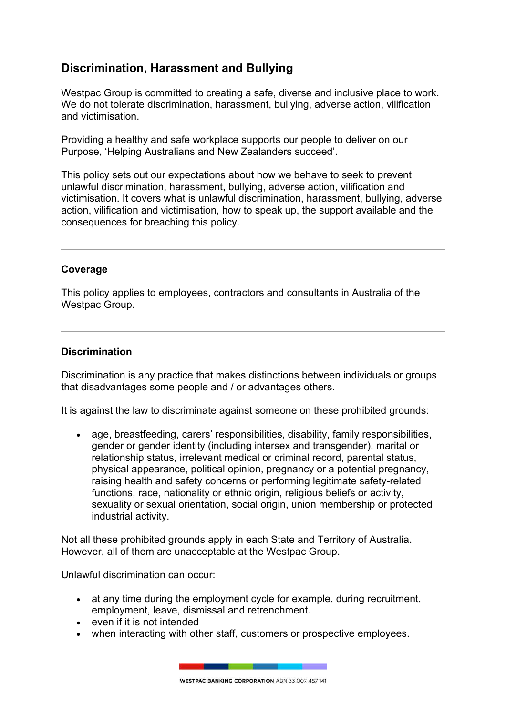# **Discrimination, Harassment and Bullying**

Westpac Group is committed to creating a safe, diverse and inclusive place to work. We do not tolerate discrimination, harassment, bullying, adverse action, vilification and victimisation.

Providing a healthy and safe workplace supports our people to deliver on our Purpose, 'Helping Australians and New Zealanders succeed'.

This policy sets out our expectations about how we behave to seek to prevent unlawful discrimination, harassment, bullying, adverse action, vilification and victimisation. It covers what is unlawful discrimination, harassment, bullying, adverse action, vilification and victimisation, how to speak up, the support available and the consequences for breaching this policy.

# **Coverage**

This policy applies to employees, contractors and consultants in Australia of the Westpac Group.

### **Discrimination**

Discrimination is any practice that makes distinctions between individuals or groups that disadvantages some people and / or advantages others.

It is against the law to discriminate against someone on these prohibited grounds:

 age, breastfeeding, carers' responsibilities, disability, family responsibilities, gender or gender identity (including intersex and transgender), marital or relationship status, irrelevant medical or criminal record, parental status, physical appearance, political opinion, pregnancy or a potential pregnancy, raising health and safety concerns or performing legitimate safety-related functions, race, nationality or ethnic origin, religious beliefs or activity, sexuality or sexual orientation, social origin, union membership or protected industrial activity.

Not all these prohibited grounds apply in each State and Territory of Australia. However, all of them are unacceptable at the Westpac Group.

Unlawful discrimination can occur:

- at any time during the employment cycle for example, during recruitment, employment, leave, dismissal and retrenchment.
- even if it is not intended
- when interacting with other staff, customers or prospective employees.

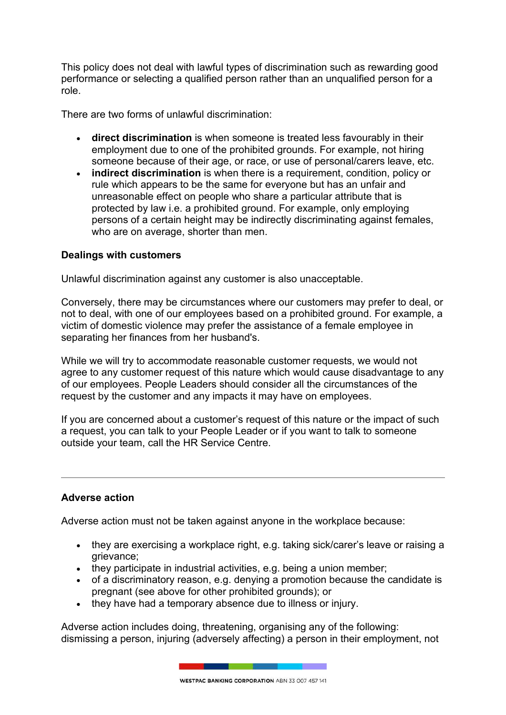This policy does not deal with lawful types of discrimination such as rewarding good performance or selecting a qualified person rather than an unqualified person for a role.

There are two forms of unlawful discrimination:

- **direct discrimination** is when someone is treated less favourably in their employment due to one of the prohibited grounds. For example, not hiring someone because of their age, or race, or use of personal/carers leave, etc.
- **indirect discrimination** is when there is a requirement, condition, policy or rule which appears to be the same for everyone but has an unfair and unreasonable effect on people who share a particular attribute that is protected by law i.e. a prohibited ground. For example, only employing persons of a certain height may be indirectly discriminating against females, who are on average, shorter than men.

# **Dealings with customers**

Unlawful discrimination against any customer is also unacceptable.

Conversely, there may be circumstances where our customers may prefer to deal, or not to deal, with one of our employees based on a prohibited ground. For example, a victim of domestic violence may prefer the assistance of a female employee in separating her finances from her husband's.

While we will try to accommodate reasonable customer requests, we would not agree to any customer request of this nature which would cause disadvantage to any of our employees. People Leaders should consider all the circumstances of the request by the customer and any impacts it may have on employees.

If you are concerned about a customer's request of this nature or the impact of such a request, you can talk to your People Leader or if you want to talk to someone outside your team, call the HR Service Centre.

# **Adverse action**

Adverse action must not be taken against anyone in the workplace because:

- they are exercising a workplace right, e.g. taking sick/carer's leave or raising a grievance;
- they participate in industrial activities, e.g. being a union member;
- of a discriminatory reason, e.g. denying a promotion because the candidate is pregnant (see above for other prohibited grounds); or
- they have had a temporary absence due to illness or injury.

Adverse action includes doing, threatening, organising any of the following: dismissing a person, injuring (adversely affecting) a person in their employment, not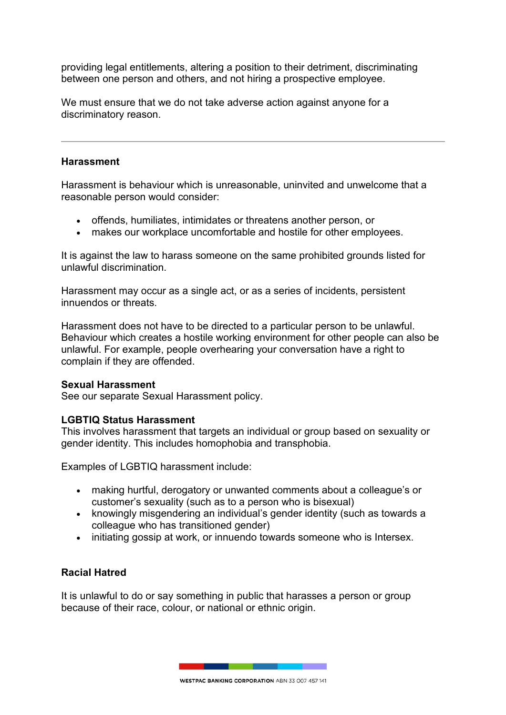providing legal entitlements, altering a position to their detriment, discriminating between one person and others, and not hiring a prospective employee.

We must ensure that we do not take adverse action against anyone for a discriminatory reason.

#### **Harassment**

Harassment is behaviour which is unreasonable, uninvited and unwelcome that a reasonable person would consider:

- offends, humiliates, intimidates or threatens another person, or
- makes our workplace uncomfortable and hostile for other employees.

It is against the law to harass someone on the same prohibited grounds listed for unlawful discrimination.

Harassment may occur as a single act, or as a series of incidents, persistent innuendos or threats.

Harassment does not have to be directed to a particular person to be unlawful. Behaviour which creates a hostile working environment for other people can also be unlawful. For example, people overhearing your conversation have a right to complain if they are offended.

### **Sexual Harassment**

See our separate Sexual Harassment policy.

### **LGBTIQ Status Harassment**

This involves harassment that targets an individual or group based on sexuality or gender identity. This includes homophobia and transphobia.

Examples of LGBTIQ harassment include:

- making hurtful, derogatory or unwanted comments about a colleague's or customer's sexuality (such as to a person who is bisexual)
- knowingly misgendering an individual's gender identity (such as towards a colleague who has transitioned gender)
- $\bullet$  initiating gossip at work, or innuendo towards someone who is Intersex.

# **Racial Hatred**

It is unlawful to do or say something in public that harasses a person or group because of their race, colour, or national or ethnic origin.

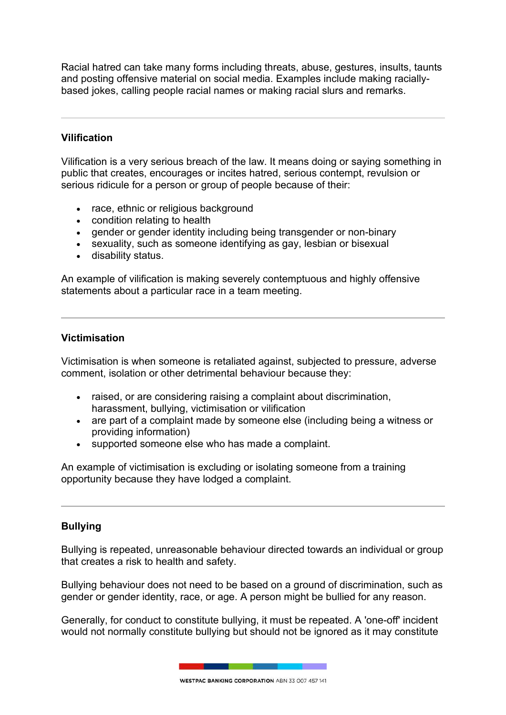Racial hatred can take many forms including threats, abuse, gestures, insults, taunts and posting offensive material on social media. Examples include making raciallybased jokes, calling people racial names or making racial slurs and remarks.

# **Vilification**

Vilification is a very serious breach of the law. It means doing or saying something in public that creates, encourages or incites hatred, serious contempt, revulsion or serious ridicule for a person or group of people because of their:

- race, ethnic or religious background
- condition relating to health
- gender or gender identity including being transgender or non-binary
- sexuality, such as someone identifying as gay, lesbian or bisexual
- disability status.

An example of vilification is making severely contemptuous and highly offensive statements about a particular race in a team meeting.

### **Victimisation**

Victimisation is when someone is retaliated against, subjected to pressure, adverse comment, isolation or other detrimental behaviour because they:

- raised, or are considering raising a complaint about discrimination, harassment, bullying, victimisation or vilification
- are part of a complaint made by someone else (including being a witness or providing information)
- supported someone else who has made a complaint.

An example of victimisation is excluding or isolating someone from a training opportunity because they have lodged a complaint.

# **Bullying**

Bullying is repeated, unreasonable behaviour directed towards an individual or group that creates a risk to health and safety.

Bullying behaviour does not need to be based on a ground of discrimination, such as gender or gender identity, race, or age. A person might be bullied for any reason.

Generally, for conduct to constitute bullying, it must be repeated. A 'one-off' incident would not normally constitute bullying but should not be ignored as it may constitute

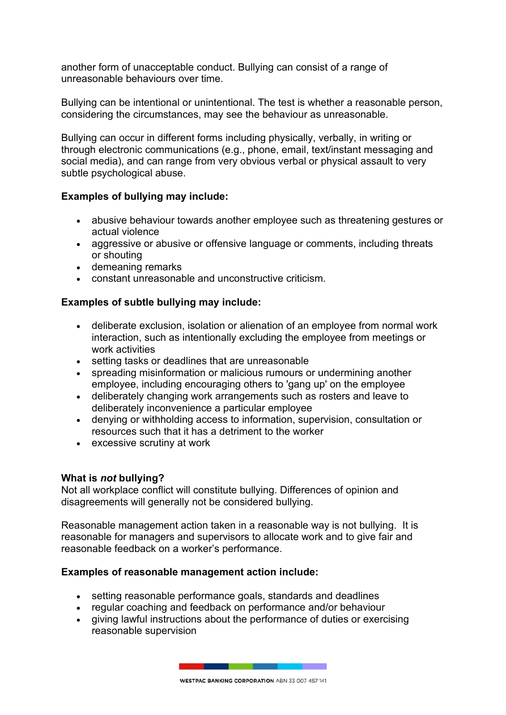another form of unacceptable conduct. Bullying can consist of a range of unreasonable behaviours over time.

Bullying can be intentional or unintentional. The test is whether a reasonable person, considering the circumstances, may see the behaviour as unreasonable.

Bullying can occur in different forms including physically, verbally, in writing or through electronic communications (e.g., phone, email, text/instant messaging and social media), and can range from very obvious verbal or physical assault to very subtle psychological abuse.

# **Examples of bullying may include:**

- abusive behaviour towards another employee such as threatening gestures or actual violence
- aggressive or abusive or offensive language or comments, including threats or shouting
- demeaning remarks
- constant unreasonable and unconstructive criticism.

# **Examples of subtle bullying may include:**

- deliberate exclusion, isolation or alienation of an employee from normal work interaction, such as intentionally excluding the employee from meetings or work activities
- setting tasks or deadlines that are unreasonable
- spreading misinformation or malicious rumours or undermining another employee, including encouraging others to 'gang up' on the employee
- deliberately changing work arrangements such as rosters and leave to deliberately inconvenience a particular employee
- denying or withholding access to information, supervision, consultation or resources such that it has a detriment to the worker
- excessive scrutiny at work

# **What is** *not* **bullying?**

Not all workplace conflict will constitute bullying. Differences of opinion and disagreements will generally not be considered bullying.

Reasonable management action taken in a reasonable way is not bullying. It is reasonable for managers and supervisors to allocate work and to give fair and reasonable feedback on a worker's performance.

# **Examples of reasonable management action include:**

- setting reasonable performance goals, standards and deadlines
- regular coaching and feedback on performance and/or behaviour
- giving lawful instructions about the performance of duties or exercising reasonable supervision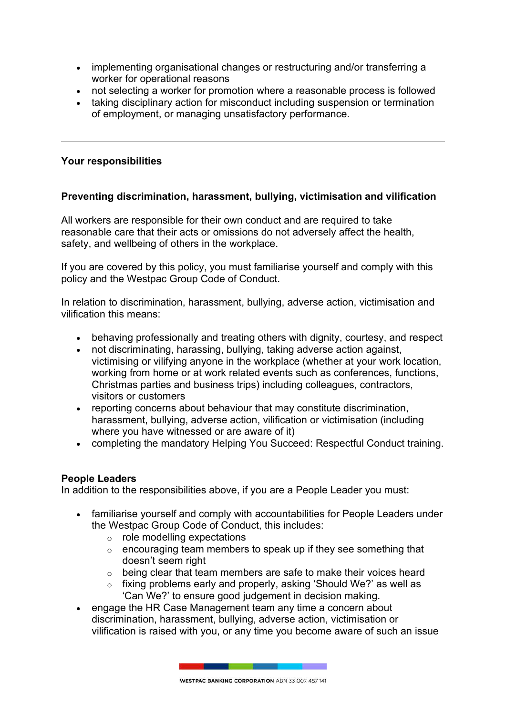- implementing organisational changes or restructuring and/or transferring a worker for operational reasons
- not selecting a worker for promotion where a reasonable process is followed
- taking disciplinary action for misconduct including suspension or termination of employment, or managing unsatisfactory performance.

### **Your responsibilities**

# **Preventing discrimination, harassment, bullying, victimisation and vilification**

All workers are responsible for their own conduct and are required to take reasonable care that their acts or omissions do not adversely affect the health, safety, and wellbeing of others in the workplace.

If you are covered by this policy, you must familiarise yourself and comply with this policy and the Westpac Group Code of Conduct.

In relation to discrimination, harassment, bullying, adverse action, victimisation and vilification this means:

- behaving professionally and treating others with dignity, courtesy, and respect
- not discriminating, harassing, bullying, taking adverse action against, victimising or vilifying anyone in the workplace (whether at your work location, working from home or at work related events such as conferences, functions, Christmas parties and business trips) including colleagues, contractors, visitors or customers
- reporting concerns about behaviour that may constitute discrimination, harassment, bullying, adverse action, vilification or victimisation (including where you have witnessed or are aware of it)
- completing the mandatory Helping You Succeed: Respectful Conduct training.

### **People Leaders**

In addition to the responsibilities above, if you are a People Leader you must:

- familiarise yourself and comply with accountabilities for People Leaders under the Westpac Group Code of Conduct, this includes:
	- o role modelling expectations
	- o encouraging team members to speak up if they see something that doesn't seem right
	- o being clear that team members are safe to make their voices heard
	- o fixing problems early and properly, asking 'Should We?' as well as 'Can We?' to ensure good judgement in decision making.
- engage the HR Case Management team any time a concern about discrimination, harassment, bullying, adverse action, victimisation or vilification is raised with you, or any time you become aware of such an issue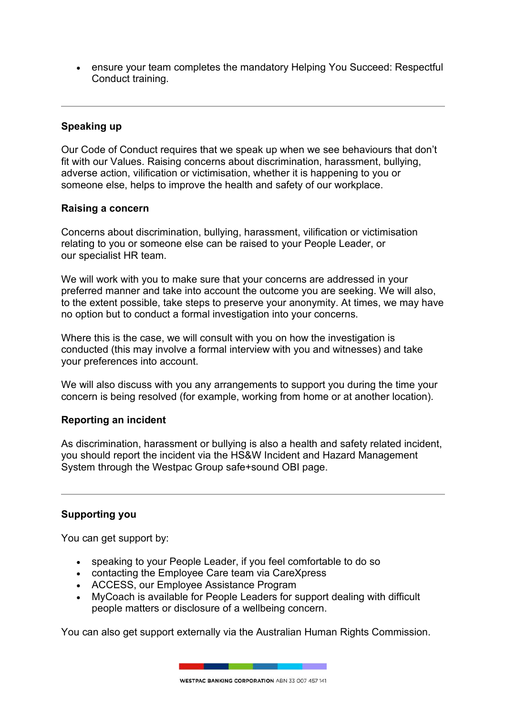ensure your team completes the mandatory Helping You Succeed: Respectful Conduct training.

# **Speaking up**

Our Code of Conduct requires that we speak up when we see behaviours that don't fit with our Values. Raising concerns about discrimination, harassment, bullying, adverse action, vilification or victimisation, whether it is happening to you or someone else, helps to improve the health and safety of our workplace.

# **Raising a concern**

Concerns about discrimination, bullying, harassment, vilification or victimisation relating to you or someone else can be raised to your People Leader, or our specialist HR team.

We will work with you to make sure that your concerns are addressed in your preferred manner and take into account the outcome you are seeking. We will also, to the extent possible, take steps to preserve your anonymity. At times, we may have no option but to conduct a formal investigation into your concerns.

Where this is the case, we will consult with you on how the investigation is conducted (this may involve a formal interview with you and witnesses) and take your preferences into account.

We will also discuss with you any arrangements to support you during the time your concern is being resolved (for example, working from home or at another location).

# **Reporting an incident**

As discrimination, harassment or bullying is also a health and safety related incident, you should report the incident via the HS&W Incident and Hazard Management System through the Westpac Group safe+sound OBI page.

# **Supporting you**

You can get support by:

- speaking to your People Leader, if you feel comfortable to do so
- contacting the Employee Care team via CareXpress
- ACCESS, our Employee Assistance Program
- MyCoach is available for People Leaders for support dealing with difficult people matters or disclosure of a wellbeing concern.

You can also get support externally via the [Australian Human Rights Commission.](https://humanrights.gov.au/complaints/make-complaint)



**WESTPAC BANKING CORPORATION ARN 33 007 457 141**